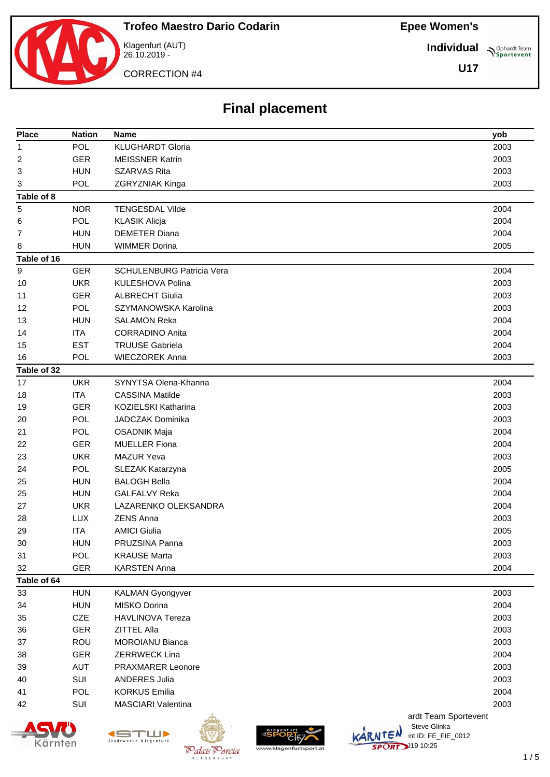**Individual Sportevent** 

**U17**

CORRECTION #4

Klagenfurt (AUT) 26.10.2019 -

## **Final placement**

| <b>Place</b> | <b>Nation</b> | Name                                                           | yob  |
|--------------|---------------|----------------------------------------------------------------|------|
| 1            | POL           | <b>KLUGHARDT Gloria</b>                                        | 2003 |
| 2            | <b>GER</b>    | <b>MEISSNER Katrin</b>                                         | 2003 |
| 3            | <b>HUN</b>    | <b>SZARVAS Rita</b>                                            | 2003 |
| 3            | POL           | ZGRYZNIAK Kinga                                                | 2003 |
| Table of 8   |               |                                                                |      |
| 5            | <b>NOR</b>    | <b>TENGESDAL Vilde</b>                                         | 2004 |
| 6            | POL           | <b>KLASIK Alicja</b>                                           | 2004 |
| 7            | <b>HUN</b>    | <b>DEMETER Diana</b>                                           | 2004 |
| 8            | <b>HUN</b>    | <b>WIMMER Dorina</b>                                           | 2005 |
| Table of 16  |               |                                                                |      |
| 9            | <b>GER</b>    | <b>SCHULENBURG Patricia Vera</b>                               | 2004 |
| 10           | <b>UKR</b>    | <b>KULESHOVA Polina</b>                                        | 2003 |
| 11           | <b>GER</b>    | <b>ALBRECHT Giulia</b>                                         | 2003 |
| 12           | <b>POL</b>    | SZYMANOWSKA Karolina                                           | 2003 |
| 13           | <b>HUN</b>    | <b>SALAMON Reka</b>                                            | 2004 |
| 14           | <b>ITA</b>    | <b>CORRADINO Anita</b>                                         | 2004 |
| 15           | <b>EST</b>    | <b>TRUUSE Gabriela</b>                                         | 2004 |
| 16           | <b>POL</b>    | <b>WIECZOREK Anna</b>                                          | 2003 |
| Table of 32  |               |                                                                |      |
| 17           | <b>UKR</b>    | SYNYTSA Olena-Khanna                                           | 2004 |
| 18           | <b>ITA</b>    | <b>CASSINA Matilde</b>                                         | 2003 |
| 19           | <b>GER</b>    | <b>KOZIELSKI Katharina</b>                                     | 2003 |
| 20           | POL           | <b>JADCZAK Dominika</b>                                        | 2003 |
| 21           | POL           | <b>OSADNIK Maja</b>                                            | 2004 |
| 22           | <b>GER</b>    | <b>MUELLER Fiona</b>                                           | 2004 |
| 23           | <b>UKR</b>    | <b>MAZUR Yeva</b>                                              | 2003 |
| 24           | POL           | SLEZAK Katarzyna                                               | 2005 |
| 25           | <b>HUN</b>    | <b>BALOGH Bella</b>                                            | 2004 |
| 25           | <b>HUN</b>    | <b>GALFALVY Reka</b>                                           | 2004 |
| 27           | <b>UKR</b>    | LAZARENKO OLEKSANDRA                                           | 2004 |
| 28           | <b>LUX</b>    | <b>ZENS Anna</b>                                               | 2003 |
| 29           | <b>ITA</b>    | <b>AMICI Giulia</b>                                            | 2005 |
| 30           | <b>HUN</b>    | PRUZSINA Panna                                                 | 2003 |
| 31           | <b>POL</b>    | <b>KRAUSE Marta</b>                                            | 2003 |
| 32           | <b>GER</b>    | <b>KARSTEN Anna</b>                                            | 2004 |
| Table of 64  |               |                                                                |      |
| 33           | <b>HUN</b>    | <b>KALMAN Gyongyver</b>                                        | 2003 |
| 34           | <b>HUN</b>    | MISKO Dorina                                                   | 2004 |
| 35           | CZE           | <b>HAVLINOVA Tereza</b>                                        | 2003 |
| 36           | <b>GER</b>    | ZITTEL Alla                                                    | 2003 |
| 37           | ROU           | <b>MOROIANU Bianca</b>                                         | 2003 |
| 38           | <b>GER</b>    | <b>ZERRWECK Lina</b>                                           | 2004 |
| 39           | AUT           | <b>PRAXMARER Leonore</b>                                       | 2003 |
| 40           | SUI           | <b>ANDERES Julia</b>                                           | 2003 |
| 41           | POL           | <b>KORKUS Emilia</b>                                           | 2004 |
| 42           | SUI           | <b>MASCIARI Valentina</b>                                      | 2003 |
|              |               | ardt Team Sportevent                                           |      |
|              |               | Steve Glinka<br><b>SPORT</b><br>KARNTEN<br>int ID: FE_FIE_0012 |      |
|              |               | Stadtwerke Klagenfurt                                          |      |







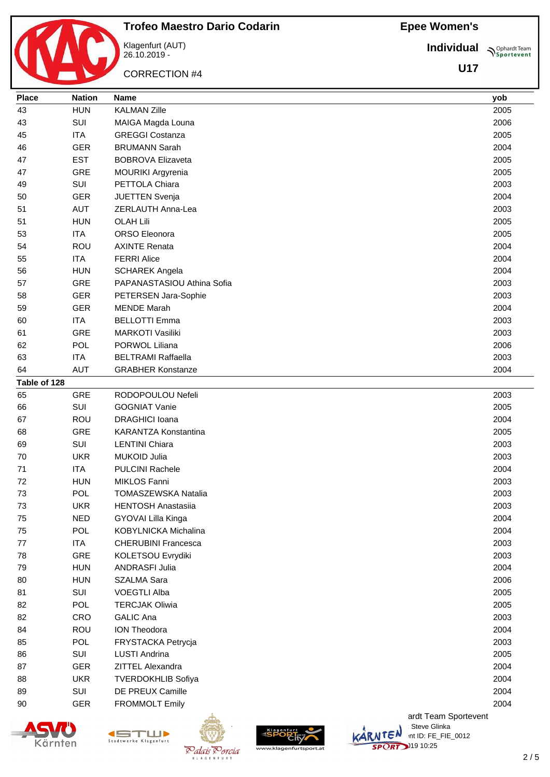**Individual Sportevent** 

**U17**



**Trofeo Maestro Dario Codarin** Klagenfurt (AUT) 26.10.2019 -

CORRECTION #4

| <b>Place</b> | <b>Nation</b> | <b>Name</b>                 | yob  |
|--------------|---------------|-----------------------------|------|
| 43           | <b>HUN</b>    | <b>KALMAN Zille</b>         | 2005 |
| 43           | SUI           | MAIGA Magda Louna           | 2006 |
| 45           | <b>ITA</b>    | <b>GREGGI Costanza</b>      | 2005 |
| 46           | <b>GER</b>    | <b>BRUMANN Sarah</b>        | 2004 |
| 47           | <b>EST</b>    | <b>BOBROVA Elizaveta</b>    | 2005 |
| 47           | <b>GRE</b>    | MOURIKI Argyrenia           | 2005 |
| 49           | SUI           | PETTOLA Chiara              | 2003 |
| 50           | <b>GER</b>    | JUETTEN Svenja              | 2004 |
| 51           | <b>AUT</b>    | ZERLAUTH Anna-Lea           | 2003 |
| 51           | <b>HUN</b>    | <b>OLAH Lili</b>            | 2005 |
| 53           | <b>ITA</b>    | ORSO Eleonora               | 2005 |
| 54           | ROU           | <b>AXINTE Renata</b>        | 2004 |
| 55           | <b>ITA</b>    | <b>FERRI Alice</b>          | 2004 |
| 56           | <b>HUN</b>    | <b>SCHAREK Angela</b>       | 2004 |
| 57           | <b>GRE</b>    | PAPANASTASIOU Athina Sofia  | 2003 |
| 58           | <b>GER</b>    | PETERSEN Jara-Sophie        | 2003 |
| 59           | <b>GER</b>    | <b>MENDE Marah</b>          | 2004 |
| 60           | <b>ITA</b>    | <b>BELLOTTI Emma</b>        | 2003 |
| 61           | <b>GRE</b>    | <b>MARKOTI Vasiliki</b>     | 2003 |
| 62           | <b>POL</b>    | PORWOL Liliana              | 2006 |
| 63           | <b>ITA</b>    | <b>BELTRAMI Raffaella</b>   | 2003 |
| 64           | <b>AUT</b>    | <b>GRABHER Konstanze</b>    | 2004 |
| Table of 128 |               |                             |      |
| 65           | <b>GRE</b>    | RODOPOULOU Nefeli           | 2003 |
| 66           | SUI           | <b>GOGNIAT Vanie</b>        | 2005 |
| 67           | <b>ROU</b>    | <b>DRAGHICI Ioana</b>       | 2004 |
| 68           | <b>GRE</b>    | <b>KARANTZA Konstantina</b> | 2005 |
| 69           | SUI           | <b>LENTINI Chiara</b>       | 2003 |
| 70           | <b>UKR</b>    | <b>MUKOID Julia</b>         | 2003 |
| 71           | <b>ITA</b>    | <b>PULCINI Rachele</b>      | 2004 |
| 72           | <b>HUN</b>    | <b>MIKLOS Fanni</b>         | 2003 |
| 73           | <b>POL</b>    | TOMASZEWSKA Natalia         | 2003 |
| 73           | <b>UKR</b>    | <b>HENTOSH Anastasiia</b>   | 2003 |
| 75           | <b>NED</b>    | GYOVAI Lilla Kinga          | 2004 |
| 75           | <b>POL</b>    | KOBYLNICKA Michalina        | 2004 |
| 77           | <b>ITA</b>    | <b>CHERUBINI Francesca</b>  | 2003 |
| 78           | <b>GRE</b>    | KOLETSOU Evrydiki           | 2003 |
| 79           | <b>HUN</b>    | ANDRASFI Julia              | 2004 |
| 80           | <b>HUN</b>    | <b>SZALMA Sara</b>          | 2006 |
| 81           | SUI           | <b>VOEGTLI Alba</b>         | 2005 |
| 82           | <b>POL</b>    | <b>TERCJAK Oliwia</b>       | 2005 |
| 82           | CRO           | <b>GALIC Ana</b>            | 2003 |
| 84           | ROU           | <b>ION Theodora</b>         | 2004 |
| 85           | <b>POL</b>    | FRYSTACKA Petrycja          | 2003 |
| 86           | SUI           | LUSTI Andrina               | 2005 |
| 87           | <b>GER</b>    | ZITTEL Alexandra            | 2004 |
| 88           | <b>UKR</b>    | <b>TVERDOKHLIB Sofiya</b>   | 2004 |
| 89           | SUI           | DE PREUX Camille            | 2004 |
| 90           | <b>GER</b>    | <b>FROMMOLT Emily</b>       | 2004 |
|              |               |                             |      |





K L A G E N F





ardt Team Sportevent **License: Steve Glinka**  $\overline{\mathsf{L}}\mathsf{C}^{\mathsf{N}}$  int ID: FE\_FIE\_0012 **SPORT** 10:25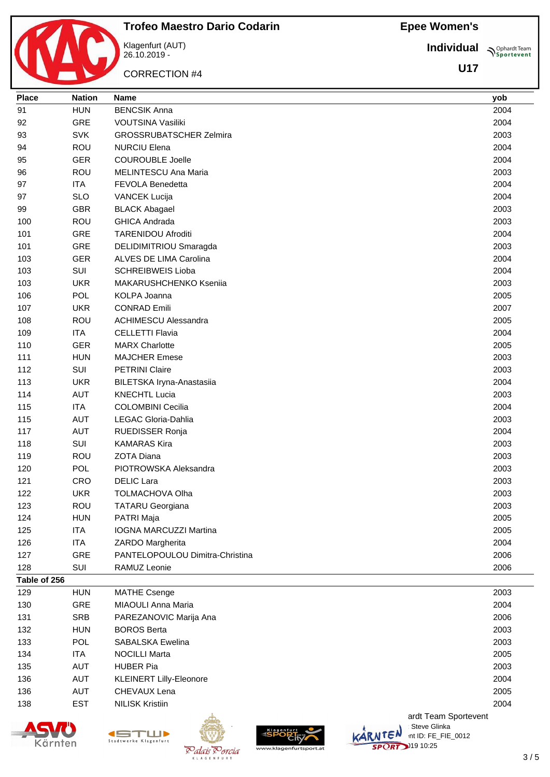**Individual**

**Sportevent** 

**U17**

|       |        | <b>Trofeo Maestro Dario Codarin</b> |
|-------|--------|-------------------------------------|
|       |        | Klagenfurt (AUT)<br>26.10.2019 -    |
|       |        | <b>CORRECTION #4</b>                |
| Place | Nation | Name                                |

| Place        | <b>Nation</b> | <b>Name</b>                     | yob  |
|--------------|---------------|---------------------------------|------|
| 91           | <b>HUN</b>    | <b>BENCSIK Anna</b>             | 2004 |
| 92           | GRE           | VOUTSINA Vasiliki               | 2004 |
| 93           | <b>SVK</b>    | <b>GROSSRUBATSCHER Zelmira</b>  | 2003 |
| 94           | ROU           | <b>NURCIU Elena</b>             | 2004 |
| 95           | <b>GER</b>    | <b>COUROUBLE Joelle</b>         | 2004 |
| 96           | <b>ROU</b>    | MELINTESCU Ana Maria            | 2003 |
| 97           | <b>ITA</b>    | FEVOLA Benedetta                | 2004 |
| 97           | <b>SLO</b>    | <b>VANCEK Lucija</b>            | 2004 |
| 99           | <b>GBR</b>    | <b>BLACK Abagael</b>            | 2003 |
| 100          | <b>ROU</b>    | <b>GHICA Andrada</b>            | 2003 |
| 101          | GRE           | <b>TARENIDOU Afroditi</b>       | 2004 |
| 101          | GRE           | DELIDIMITRIOU Smaragda          | 2003 |
| 103          | <b>GER</b>    | ALVES DE LIMA Carolina          | 2004 |
| 103          | SUI           | <b>SCHREIBWEIS Lioba</b>        | 2004 |
| 103          | <b>UKR</b>    | MAKARUSHCHENKO Kseniia          | 2003 |
| 106          | <b>POL</b>    | KOLPA Joanna                    | 2005 |
| 107          | <b>UKR</b>    | <b>CONRAD Emili</b>             | 2007 |
| 108          | ROU           | <b>ACHIMESCU Alessandra</b>     | 2005 |
| 109          | <b>ITA</b>    | <b>CELLETTI Flavia</b>          | 2004 |
| 110          | <b>GER</b>    | <b>MARX Charlotte</b>           | 2005 |
| 111          | <b>HUN</b>    | <b>MAJCHER Emese</b>            | 2003 |
| 112          | SUI           | <b>PETRINI Claire</b>           | 2003 |
| 113          | <b>UKR</b>    | BILETSKA Iryna-Anastasiia       | 2004 |
| 114          | <b>AUT</b>    | <b>KNECHTL Lucia</b>            | 2003 |
| 115          | <b>ITA</b>    | <b>COLOMBINI Cecilia</b>        | 2004 |
| 115          | <b>AUT</b>    | LEGAC Gloria-Dahlia             | 2003 |
| 117          | <b>AUT</b>    | RUEDISSER Ronja                 | 2004 |
| 118          | SUI           | <b>KAMARAS Kira</b>             | 2003 |
| 119          | ROU           | <b>ZOTA Diana</b>               | 2003 |
| 120          | <b>POL</b>    | PIOTROWSKA Aleksandra           | 2003 |
| 121          | CRO           | <b>DELIC Lara</b>               | 2003 |
| 122          | <b>UKR</b>    | <b>TOLMACHOVA Olha</b>          | 2003 |
| 123          | ROU           | <b>TATARU Georgiana</b>         | 2003 |
| 124          | <b>HUN</b>    | PATRI Maja                      | 2005 |
| 125          | <b>ITA</b>    | IOGNA MARCUZZI Martina          | 2005 |
| 126          | <b>ITA</b>    | ZARDO Margherita                | 2004 |
| 127          | <b>GRE</b>    | PANTELOPOULOU Dimitra-Christina | 2006 |
| 128          | SUI           | RAMUZ Leonie                    | 2006 |
| Table of 256 |               |                                 |      |
| 129          | <b>HUN</b>    | <b>MATHE Csenge</b>             | 2003 |
|              |               |                                 |      |

|     |            | ulta.                          | ardt Team Sportevent |
|-----|------------|--------------------------------|----------------------|
| 138 | <b>EST</b> | <b>NILISK Kristiin</b>         | 2004                 |
| 136 | <b>AUT</b> | CHEVAUX Lena                   | 2005                 |
| 136 | AUT        | <b>KLEINERT Lilly-Eleonore</b> | 2004                 |
| 135 | AUT        | <b>HUBER Pia</b>               | 2003                 |
| 134 | ITA.       | <b>NOCILLI Marta</b>           | 2005                 |
| 133 | <b>POL</b> | SABALSKA Ewelina               | 2003                 |
| 132 | <b>HUN</b> | <b>BOROS Berta</b>             | 2003                 |
| 131 | <b>SRB</b> | PAREZANOVIC Marija Ana         | 2006                 |
| 130 | <b>GRE</b> | MIAOULI Anna Maria             | 2004                 |
| 129 | <b>HUN</b> | <b>MATHE Csenge</b>            | 2003                 |





K L A G E N F





**License: Steve Glinka**  $\overline{\mathsf{L}}\mathsf{C}^{\mathsf{N}}$  int ID: FE\_FIE\_0012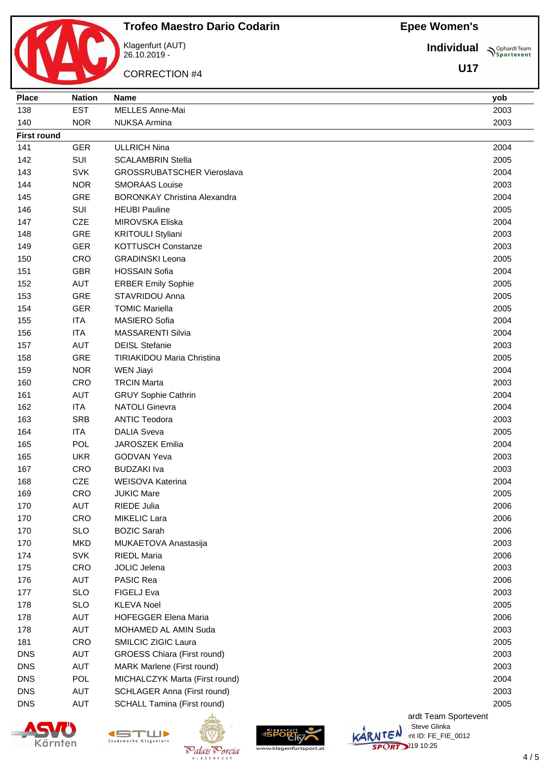**Trofeo Maestro Dario Codarin** Klagenfurt (AUT)

26.10.2019 -

CORRECTION #4

**Individual Supplemant** Team

**U17**

| Place              | <b>Nation</b> | <b>Name</b>                         | yob  |
|--------------------|---------------|-------------------------------------|------|
| 138                | <b>EST</b>    | MELLES Anne-Mai                     | 2003 |
| 140                | <b>NOR</b>    | <b>NUKSA Armina</b>                 | 2003 |
| <b>First round</b> |               |                                     |      |
| 141                | <b>GER</b>    | <b>ULLRICH Nina</b>                 | 2004 |
| 142                | SUI           | <b>SCALAMBRIN Stella</b>            | 2005 |
| 143                | <b>SVK</b>    | <b>GROSSRUBATSCHER Vieroslava</b>   | 2004 |
| 144                | <b>NOR</b>    | <b>SMORAAS Louise</b>               | 2003 |
| 145                | <b>GRE</b>    | <b>BORONKAY Christina Alexandra</b> | 2004 |
| 146                | SUI           | <b>HEUBI Pauline</b>                | 2005 |
| 147                | <b>CZE</b>    | <b>MIROVSKA Eliska</b>              | 2004 |
| 148                | GRE           | <b>KRITOULI Styliani</b>            | 2003 |
| 149                | <b>GER</b>    | KOTTUSCH Constanze                  | 2003 |
| 150                | CRO           | <b>GRADINSKI Leona</b>              | 2005 |
| 151                | <b>GBR</b>    | <b>HOSSAIN Sofia</b>                | 2004 |
| 152                | AUT           | <b>ERBER Emily Sophie</b>           | 2005 |
| 153                | GRE           | STAVRIDOU Anna                      | 2005 |
| 154                | <b>GER</b>    | <b>TOMIC Mariella</b>               | 2005 |
| 155                | <b>ITA</b>    | MASIERO Sofia                       | 2004 |
| 156                | <b>ITA</b>    | <b>MASSARENTI Silvia</b>            | 2004 |
| 157                | <b>AUT</b>    | <b>DEISL Stefanie</b>               | 2003 |
| 158                | GRE           | <b>TIRIAKIDOU Maria Christina</b>   | 2005 |
| 159                | <b>NOR</b>    | <b>WEN Jiayi</b>                    | 2004 |
| 160                | <b>CRO</b>    | <b>TRCIN Marta</b>                  | 2003 |
| 161                | <b>AUT</b>    | <b>GRUY Sophie Cathrin</b>          | 2004 |
| 162                | <b>ITA</b>    | <b>NATOLI Ginevra</b>               | 2004 |
| 163                | <b>SRB</b>    | <b>ANTIC Teodora</b>                | 2003 |
| 164                | <b>ITA</b>    | <b>DALIA Sveva</b>                  | 2005 |
| 165                | POL           | JAROSZEK Emilia                     | 2004 |
| 165                | <b>UKR</b>    | <b>GODVAN Yeva</b>                  | 2003 |
| 167                | CRO           | <b>BUDZAKI</b> Iva                  | 2003 |
| 168                | <b>CZE</b>    | <b>WEISOVA Katerina</b>             | 2004 |
| 169                | CRO           | <b>JUKIC Mare</b>                   | 2005 |
| 170                | <b>AUT</b>    | RIEDE Julia                         | 2006 |
| 170                | CRO           | MIKELIC Lara                        | 2006 |
| 170                | <b>SLO</b>    | <b>BOZIC Sarah</b>                  | 2006 |
| 170                | <b>MKD</b>    | MUKAETOVA Anastasija                | 2003 |
| 174                | <b>SVK</b>    | <b>RIEDL Maria</b>                  | 2006 |
| 175                | <b>CRO</b>    | JOLIC Jelena                        | 2003 |
| 176                | <b>AUT</b>    | PASIC Rea                           | 2006 |
| 177                | <b>SLO</b>    | FIGELJ Eva                          | 2003 |
| 178                | <b>SLO</b>    | <b>KLEVA Noel</b>                   | 2005 |
| 178                | <b>AUT</b>    | <b>HOFEGGER Elena Maria</b>         | 2006 |
| 178                | <b>AUT</b>    | MOHAMED AL AMIN Suda                | 2003 |
| 181                | CRO           | SMILCIC ZIGIC Laura                 | 2005 |
| <b>DNS</b>         | <b>AUT</b>    | <b>GROESS Chiara (First round)</b>  | 2003 |
| <b>DNS</b>         | <b>AUT</b>    | MARK Marlene (First round)          | 2003 |
| <b>DNS</b>         | POL           | MICHALCZYK Marta (First round)      | 2004 |
| <b>DNS</b>         | <b>AUT</b>    | SCHLAGER Anna (First round)         | 2003 |
| <b>DNS</b>         | <b>AUT</b>    | <b>SCHALL Tamina (First round)</b>  | 2005 |
|                    |               | ardt Team Sportevent                |      |





K L A G E N F L